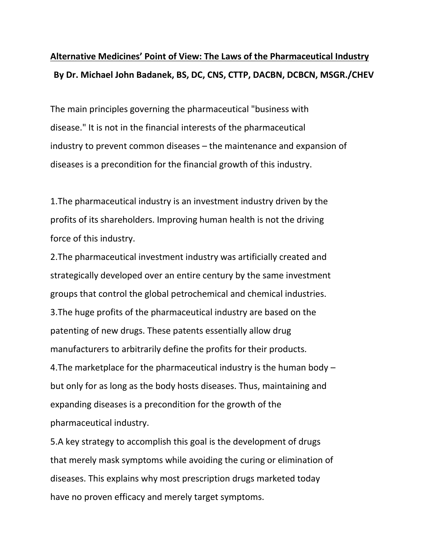## **Alternative Medicines' Point of View: The Laws of the Pharmaceutical Industry By Dr. Michael John Badanek, BS, DC, CNS, CTTP, DACBN, DCBCN, MSGR./CHEV**

The main principles governing the pharmaceutical "business with disease." It is not in the financial interests of the pharmaceutical industry to prevent common diseases – the maintenance and expansion of diseases is a precondition for the financial growth of this industry.

1.The pharmaceutical industry is an investment industry driven by the profits of its shareholders. Improving human health is not the driving force of this industry.

2.The pharmaceutical investment industry was artificially created and strategically developed over an entire century by the same investment groups that control the global petrochemical and chemical industries. 3.The huge profits of the pharmaceutical industry are based on the patenting of new drugs. These patents essentially allow drug manufacturers to arbitrarily define the profits for their products. 4.The marketplace for the pharmaceutical industry is the human body – but only for as long as the body hosts diseases. Thus, maintaining and expanding diseases is a precondition for the growth of the pharmaceutical industry.

5.A key strategy to accomplish this goal is the development of drugs that merely mask symptoms while avoiding the curing or elimination of diseases. This explains why most prescription drugs marketed today have no proven efficacy and merely target symptoms.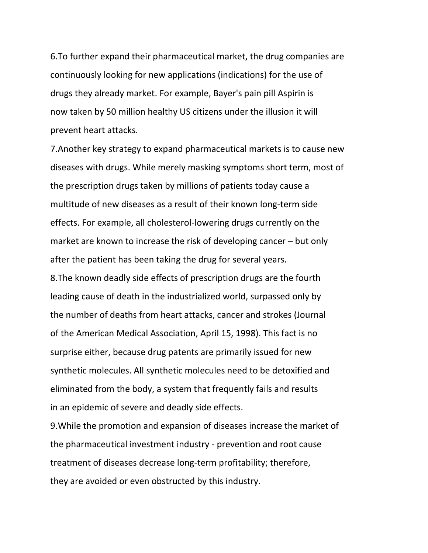6.To further expand their pharmaceutical market, the drug companies are continuously looking for new applications (indications) for the use of drugs they already market. For example, Bayer's pain pill Aspirin is now taken by 50 million healthy US citizens under the illusion it will prevent heart attacks.

7.Another key strategy to expand pharmaceutical markets is to cause new diseases with drugs. While merely masking symptoms short term, most of the prescription drugs taken by millions of patients today cause a multitude of new diseases as a result of their known long-term side effects. For example, all cholesterol-lowering drugs currently on the market are known to increase the risk of developing cancer – but only after the patient has been taking the drug for several years. 8.The known deadly side effects of prescription drugs are the fourth leading cause of death in the industrialized world, surpassed only by the number of deaths from heart attacks, cancer and strokes (Journal of the American Medical Association, April 15, 1998). This fact is no surprise either, because drug patents are primarily issued for new synthetic molecules. All synthetic molecules need to be detoxified and eliminated from the body, a system that frequently fails and results in an epidemic of severe and deadly side effects.

9.While the promotion and expansion of diseases increase the market of the pharmaceutical investment industry - prevention and root cause treatment of diseases decrease long-term profitability; therefore, they are avoided or even obstructed by this industry.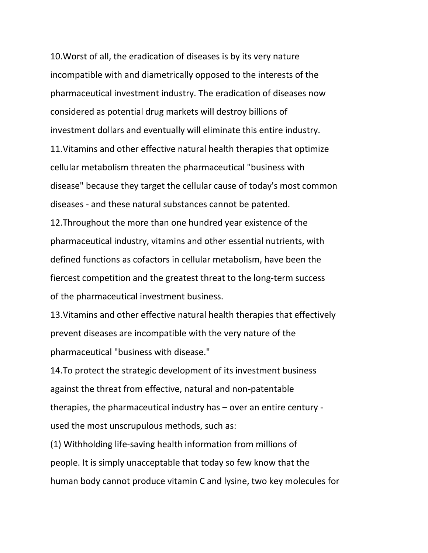10.Worst of all, the eradication of diseases is by its very nature incompatible with and diametrically opposed to the interests of the pharmaceutical investment industry. The eradication of diseases now considered as potential drug markets will destroy billions of investment dollars and eventually will eliminate this entire industry. 11.Vitamins and other effective natural health therapies that optimize cellular metabolism threaten the pharmaceutical "business with disease" because they target the cellular cause of today's most common diseases - and these natural substances cannot be patented. 12.Throughout the more than one hundred year existence of the pharmaceutical industry, vitamins and other essential nutrients, with defined functions as cofactors in cellular metabolism, have been the fiercest competition and the greatest threat to the long-term success of the pharmaceutical investment business.

13.Vitamins and other effective natural health therapies that effectively prevent diseases are incompatible with the very nature of the pharmaceutical "business with disease."

14.To protect the strategic development of its investment business against the threat from effective, natural and non-patentable therapies, the pharmaceutical industry has – over an entire century used the most unscrupulous methods, such as:

(1) Withholding life-saving health information from millions of people. It is simply unacceptable that today so few know that the human body cannot produce vitamin C and lysine, two key molecules for